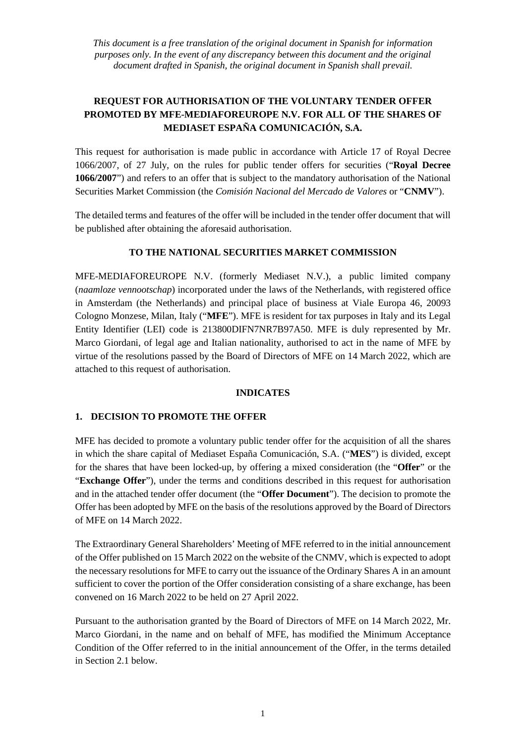*This document is a free translation of the original document in Spanish for information purposes only. In the event of any discrepancy between this document and the original document drafted in Spanish, the original document in Spanish shall prevail.*

# **REQUEST FOR AUTHORISATION OF THE VOLUNTARY TENDER OFFER PROMOTED BY MFE-MEDIAFOREUROPE N.V. FOR ALL OF THE SHARES OF MEDIASET ESPAÑA COMUNICACIÓN, S.A.**

This request for authorisation is made public in accordance with Article 17 of Royal Decree 1066/2007, of 27 July, on the rules for public tender offers for securities ("**Royal Decree 1066/2007**") and refers to an offer that is subject to the mandatory authorisation of the National Securities Market Commission (the *Comisión Nacional del Mercado de Valores* or "**CNMV**").

The detailed terms and features of the offer will be included in the tender offer document that will be published after obtaining the aforesaid authorisation.

## **TO THE NATIONAL SECURITIES MARKET COMMISSION**

MFE-MEDIAFOREUROPE N.V. (formerly Mediaset N.V.), a public limited company (*naamloze vennootschap*) incorporated under the laws of the Netherlands, with registered office in Amsterdam (the Netherlands) and principal place of business at Viale Europa 46, 20093 Cologno Monzese, Milan, Italy ("**MFE**"). MFE is resident for tax purposes in Italy and its Legal Entity Identifier (LEI) code is 213800DIFN7NR7B97A50. MFE is duly represented by Mr. Marco Giordani, of legal age and Italian nationality, authorised to act in the name of MFE by virtue of the resolutions passed by the Board of Directors of MFE on 14 March 2022, which are attached to this request of authorisation.

#### **INDICATES**

#### **1. DECISION TO PROMOTE THE OFFER**

MFE has decided to promote a voluntary public tender offer for the acquisition of all the shares in which the share capital of Mediaset España Comunicación, S.A. ("**MES**") is divided, except for the shares that have been locked-up, by offering a mixed consideration (the "**Offer**" or the "**Exchange Offer**"), under the terms and conditions described in this request for authorisation and in the attached tender offer document (the "**Offer Document**"). The decision to promote the Offer has been adopted by MFE on the basis of the resolutions approved by the Board of Directors of MFE on 14 March 2022.

The Extraordinary General Shareholders' Meeting of MFE referred to in the initial announcement of the Offer published on 15 March 2022 on the website of the CNMV, which is expected to adopt the necessary resolutions for MFE to carry out the issuance of the Ordinary Shares A in an amount sufficient to cover the portion of the Offer consideration consisting of a share exchange, has been convened on 16 March 2022 to be held on 27 April 2022.

Pursuant to the authorisation granted by the Board of Directors of MFE on 14 March 2022, Mr. Marco Giordani, in the name and on behalf of MFE, has modified the Minimum Acceptance Condition of the Offer referred to in the initial announcement of the Offer, in the terms detailed in Section 2.1 below.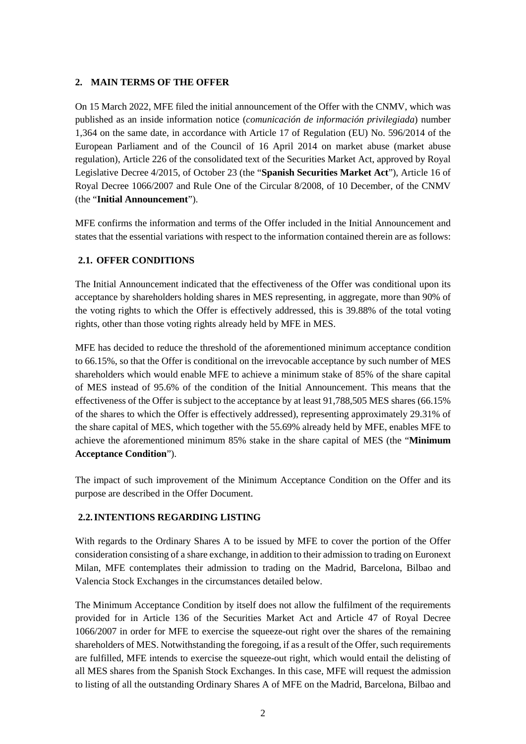## **2. MAIN TERMS OF THE OFFER**

On 15 March 2022, MFE filed the initial announcement of the Offer with the CNMV, which was published as an inside information notice (*comunicación de información privilegiada*) number 1,364 on the same date, in accordance with Article 17 of Regulation (EU) No. 596/2014 of the European Parliament and of the Council of 16 April 2014 on market abuse (market abuse regulation), Article 226 of the consolidated text of the Securities Market Act, approved by Royal Legislative Decree 4/2015, of October 23 (the "**Spanish Securities Market Act**"), Article 16 of Royal Decree 1066/2007 and Rule One of the Circular 8/2008, of 10 December, of the CNMV (the "**Initial Announcement**").

MFE confirms the information and terms of the Offer included in the Initial Announcement and states that the essential variations with respect to the information contained therein are as follows:

## **2.1. OFFER CONDITIONS**

The Initial Announcement indicated that the effectiveness of the Offer was conditional upon its acceptance by shareholders holding shares in MES representing, in aggregate, more than 90% of the voting rights to which the Offer is effectively addressed, this is 39.88% of the total voting rights, other than those voting rights already held by MFE in MES.

MFE has decided to reduce the threshold of the aforementioned minimum acceptance condition to 66.15%, so that the Offer is conditional on the irrevocable acceptance by such number of MES shareholders which would enable MFE to achieve a minimum stake of 85% of the share capital of MES instead of 95.6% of the condition of the Initial Announcement. This means that the effectiveness of the Offer is subject to the acceptance by at least 91,788,505 MES shares (66.15% of the shares to which the Offer is effectively addressed), representing approximately 29.31% of the share capital of MES, which together with the 55.69% already held by MFE, enables MFE to achieve the aforementioned minimum 85% stake in the share capital of MES (the "**Minimum Acceptance Condition**").

The impact of such improvement of the Minimum Acceptance Condition on the Offer and its purpose are described in the Offer Document.

# **2.2.INTENTIONS REGARDING LISTING**

With regards to the Ordinary Shares A to be issued by MFE to cover the portion of the Offer consideration consisting of a share exchange, in addition to their admission to trading on Euronext Milan, MFE contemplates their admission to trading on the Madrid, Barcelona, Bilbao and Valencia Stock Exchanges in the circumstances detailed below.

The Minimum Acceptance Condition by itself does not allow the fulfilment of the requirements provided for in Article 136 of the Securities Market Act and Article 47 of Royal Decree 1066/2007 in order for MFE to exercise the squeeze-out right over the shares of the remaining shareholders of MES. Notwithstanding the foregoing, if as a result of the Offer, such requirements are fulfilled, MFE intends to exercise the squeeze-out right, which would entail the delisting of all MES shares from the Spanish Stock Exchanges. In this case, MFE will request the admission to listing of all the outstanding Ordinary Shares A of MFE on the Madrid, Barcelona, Bilbao and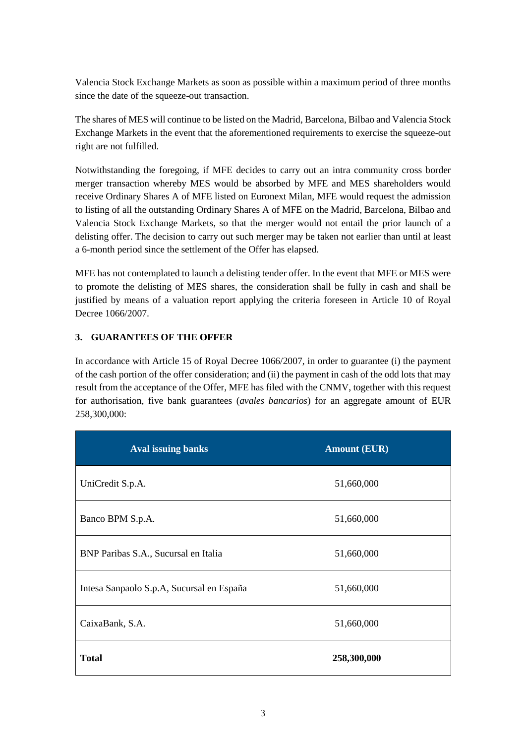Valencia Stock Exchange Markets as soon as possible within a maximum period of three months since the date of the squeeze-out transaction.

The shares of MES will continue to be listed on the Madrid, Barcelona, Bilbao and Valencia Stock Exchange Markets in the event that the aforementioned requirements to exercise the squeeze-out right are not fulfilled.

Notwithstanding the foregoing, if MFE decides to carry out an intra community cross border merger transaction whereby MES would be absorbed by MFE and MES shareholders would receive Ordinary Shares A of MFE listed on Euronext Milan, MFE would request the admission to listing of all the outstanding Ordinary Shares A of MFE on the Madrid, Barcelona, Bilbao and Valencia Stock Exchange Markets, so that the merger would not entail the prior launch of a delisting offer. The decision to carry out such merger may be taken not earlier than until at least a 6-month period since the settlement of the Offer has elapsed.

MFE has not contemplated to launch a delisting tender offer. In the event that MFE or MES were to promote the delisting of MES shares, the consideration shall be fully in cash and shall be justified by means of a valuation report applying the criteria foreseen in Article 10 of Royal Decree 1066/2007.

# **3. GUARANTEES OF THE OFFER**

In accordance with Article 15 of Royal Decree 1066/2007, in order to guarantee (i) the payment of the cash portion of the offer consideration; and (ii) the payment in cash of the odd lots that may result from the acceptance of the Offer, MFE has filed with the CNMV, together with this request for authorisation, five bank guarantees (*avales bancarios*) for an aggregate amount of EUR 258,300,000:

| <b>Aval issuing banks</b>                 | <b>Amount (EUR)</b> |
|-------------------------------------------|---------------------|
| UniCredit S.p.A.                          | 51,660,000          |
| Banco BPM S.p.A.                          | 51,660,000          |
| BNP Paribas S.A., Sucursal en Italia      | 51,660,000          |
| Intesa Sanpaolo S.p.A, Sucursal en España | 51,660,000          |
| CaixaBank, S.A.                           | 51,660,000          |
| <b>Total</b>                              | 258,300,000         |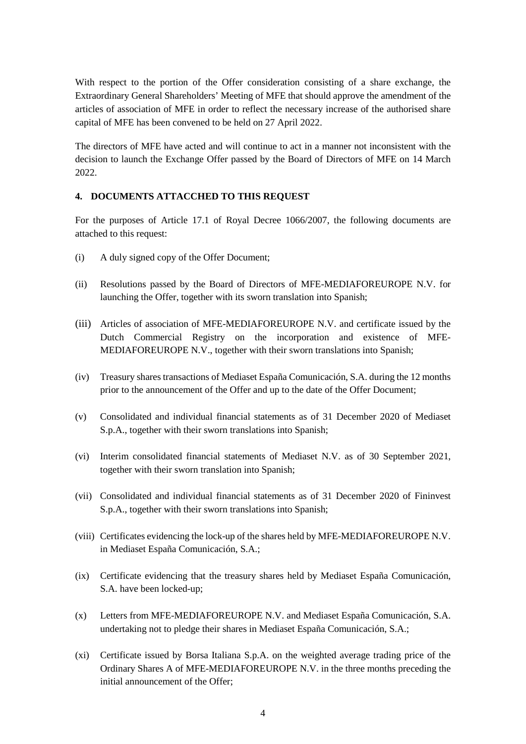With respect to the portion of the Offer consideration consisting of a share exchange, the Extraordinary General Shareholders' Meeting of MFE that should approve the amendment of the articles of association of MFE in order to reflect the necessary increase of the authorised share capital of MFE has been convened to be held on 27 April 2022.

The directors of MFE have acted and will continue to act in a manner not inconsistent with the decision to launch the Exchange Offer passed by the Board of Directors of MFE on 14 March 2022.

# **4. DOCUMENTS ATTACCHED TO THIS REQUEST**

For the purposes of Article 17.1 of Royal Decree 1066/2007, the following documents are attached to this request:

- (i) A duly signed copy of the Offer Document;
- (ii) Resolutions passed by the Board of Directors of MFE-MEDIAFOREUROPE N.V. for launching the Offer, together with its sworn translation into Spanish;
- (iii) Articles of association of MFE-MEDIAFOREUROPE N.V. and certificate issued by the Dutch Commercial Registry on the incorporation and existence of MFE-MEDIAFOREUROPE N.V., together with their sworn translations into Spanish;
- (iv) Treasury shares transactions of Mediaset España Comunicación, S.A. during the 12 months prior to the announcement of the Offer and up to the date of the Offer Document;
- (v) Consolidated and individual financial statements as of 31 December 2020 of Mediaset S.p.A., together with their sworn translations into Spanish;
- (vi) Interim consolidated financial statements of Mediaset N.V. as of 30 September 2021, together with their sworn translation into Spanish;
- (vii) Consolidated and individual financial statements as of 31 December 2020 of Fininvest S.p.A., together with their sworn translations into Spanish;
- (viii) Certificates evidencing the lock-up of the shares held by MFE-MEDIAFOREUROPE N.V. in Mediaset España Comunicación, S.A.;
- (ix) Certificate evidencing that the treasury shares held by Mediaset España Comunicación, S.A. have been locked-up;
- (x) Letters from MFE-MEDIAFOREUROPE N.V. and Mediaset España Comunicación, S.A. undertaking not to pledge their shares in Mediaset España Comunicación, S.A.;
- (xi) Certificate issued by Borsa Italiana S.p.A. on the weighted average trading price of the Ordinary Shares A of MFE-MEDIAFOREUROPE N.V. in the three months preceding the initial announcement of the Offer;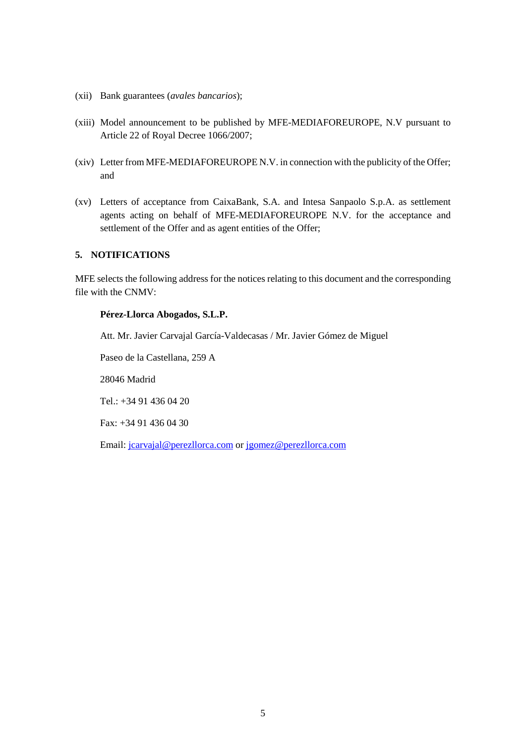- (xii) Bank guarantees (*avales bancarios*);
- (xiii) Model announcement to be published by MFE-MEDIAFOREUROPE, N.V pursuant to Article 22 of Royal Decree 1066/2007;
- (xiv) Letter from MFE-MEDIAFOREUROPE N.V. in connection with the publicity of the Offer; and
- (xv) Letters of acceptance from CaixaBank, S.A. and Intesa Sanpaolo S.p.A. as settlement agents acting on behalf of MFE-MEDIAFOREUROPE N.V. for the acceptance and settlement of the Offer and as agent entities of the Offer;

#### **5. NOTIFICATIONS**

MFE selects the following address for the notices relating to this document and the corresponding file with the CNMV:

#### **Pérez-Llorca Abogados, S.L.P.**

Att. Mr. Javier Carvajal García-Valdecasas / Mr. Javier Gómez de Miguel

Paseo de la Castellana, 259 A

28046 Madrid

Tel.: +34 91 436 04 20

Fax: +34 91 436 04 30

Email: [jcarvajal@perezllorca.com](mailto:jcarvajal@perezllorca.com) or [jgomez@perezllorca.com](mailto:jgomez@perezllorca.com)